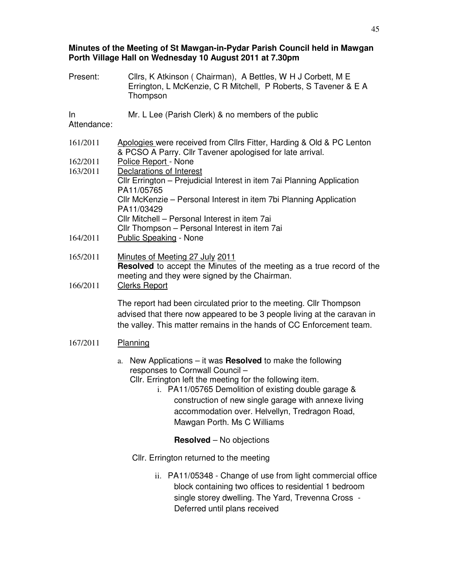## **Minutes of the Meeting of St Mawgan-in-Pydar Parish Council held in Mawgan Porth Village Hall on Wednesday 10 August 2011 at 7.30pm**

Present: Cllrs, K Atkinson ( Chairman), A Bettles, W H J Corbett, M E Errington, L McKenzie, C R Mitchell, P Roberts, S Tavener & E A Thompson In Attendance: Mr. L Lee (Parish Clerk) & no members of the public 161/2011 Apologies were received from Cllrs Fitter, Harding & Old & PC Lenton & PCSO A Parry. Cllr Tavener apologised for late arrival. 162/2011 Police Report - None 163/2011 Declarations of Interest Cllr Errington – Prejudicial Interest in item 7ai Planning Application PA11/05765 Cllr McKenzie – Personal Interest in item 7bi Planning Application PA11/03429 Cllr Mitchell – Personal Interest in item 7ai Cllr Thompson – Personal Interest in item 7ai 164/2011 Public Speaking - None 165/2011 Minutes of Meeting 27 July 2011 **Resolved** to accept the Minutes of the meeting as a true record of the meeting and they were signed by the Chairman. 166/2011 Clerks Report The report had been circulated prior to the meeting. Cllr Thompson advised that there now appeared to be 3 people living at the caravan in the valley. This matter remains in the hands of CC Enforcement team. 167/2011 Planning a. New Applications – it was **Resolved** to make the following responses to Cornwall Council – Cllr. Errington left the meeting for the following item. i. PA11/05765 Demolition of existing double garage & construction of new single garage with annexe living accommodation over. Helvellyn, Tredragon Road, Mawgan Porth. Ms C Williams **Resolved** – No objections Cllr. Errington returned to the meeting ii. PA11/05348 - Change of use from light commercial office block containing two offices to residential 1 bedroom single storey dwelling. The Yard, Trevenna Cross -

Deferred until plans received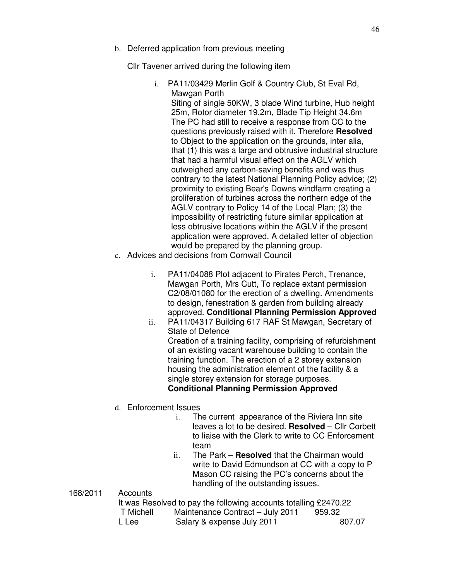b. Deferred application from previous meeting

Cllr Tavener arrived during the following item

i. PA11/03429 Merlin Golf & Country Club, St Eval Rd, Mawgan Porth

Siting of single 50KW, 3 blade Wind turbine, Hub height 25m, Rotor diameter 19.2m, Blade Tip Height 34.6m The PC had still to receive a response from CC to the questions previously raised with it. Therefore **Resolved** to Object to the application on the grounds, inter alia, that (1) this was a large and obtrusive industrial structure that had a harmful visual effect on the AGLV which outweighed any carbon-saving benefits and was thus contrary to the latest National Planning Policy advice; (2) proximity to existing Bear's Downs windfarm creating a proliferation of turbines across the northern edge of the AGLV contrary to Policy 14 of the Local Plan; (3) the impossibility of restricting future similar application at less obtrusive locations within the AGLV if the present application were approved. A detailed letter of objection would be prepared by the planning group.

- c. Advices and decisions from Cornwall Council
	- i. PA11/04088 Plot adjacent to Pirates Perch, Trenance, Mawgan Porth, Mrs Cutt, To replace extant permission C2/08/01080 for the erection of a dwelling. Amendments to design, fenestration & garden from building already approved. **Conditional Planning Permission Approved**
	- ii. PA11/04317 Building 617 RAF St Mawgan, Secretary of State of Defence Creation of a training facility, comprising of refurbishment of an existing vacant warehouse building to contain the training function. The erection of a 2 storey extension housing the administration element of the facility & a single storey extension for storage purposes. **Conditional Planning Permission Approved**
- d. Enforcement Issues
	- i. The current appearance of the Riviera Inn site leaves a lot to be desired. **Resolved** – Cllr Corbett to liaise with the Clerk to write to CC Enforcement team
	- ii. The Park **Resolved** that the Chairman would write to David Edmundson at CC with a copy to P Mason CC raising the PC's concerns about the handling of the outstanding issues.

## 168/2011 Accounts

|           | It was Resolved to pay the following accounts totalling £2470.22 |        |
|-----------|------------------------------------------------------------------|--------|
| T Michell | Maintenance Contract - July 2011                                 | 959.32 |
| L Lee     | Salary & expense July 2011                                       | 807.07 |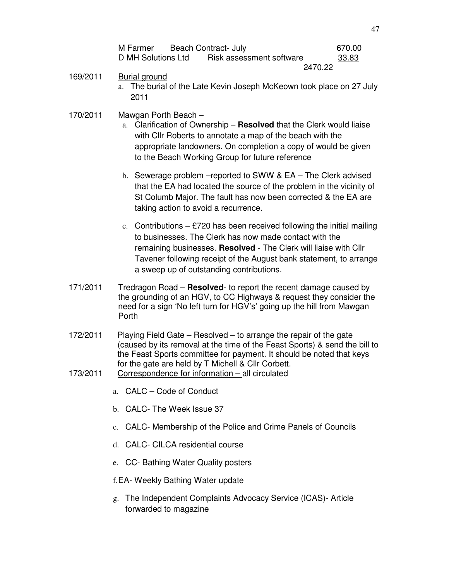| M Farmer           | Beach Contract- July |                          |         | 670.00 |
|--------------------|----------------------|--------------------------|---------|--------|
| D MH Solutions Ltd |                      | Risk assessment software |         | 33.83  |
|                    |                      |                          | 2470.22 |        |

- 169/2011 Burial ground
	- a. The burial of the Late Kevin Joseph McKeown took place on 27 July 2011
- 170/2011 Mawgan Porth Beach
	- a. Clarification of Ownership **Resolved** that the Clerk would liaise with Cllr Roberts to annotate a map of the beach with the appropriate landowners. On completion a copy of would be given to the Beach Working Group for future reference
	- b. Sewerage problem –reported to SWW & EA The Clerk advised that the EA had located the source of the problem in the vicinity of St Columb Major. The fault has now been corrected & the EA are taking action to avoid a recurrence.
	- c. Contributions  $-$  £720 has been received following the initial mailing to businesses. The Clerk has now made contact with the remaining businesses. **Resolved** - The Clerk will liaise with Cllr Tavener following receipt of the August bank statement, to arrange a sweep up of outstanding contributions.
- 171/2011 Tredragon Road **Resolved** to report the recent damage caused by the grounding of an HGV, to CC Highways & request they consider the need for a sign 'No left turn for HGV's' going up the hill from Mawgan Porth
- 172/2011 Playing Field Gate Resolved to arrange the repair of the gate (caused by its removal at the time of the Feast Sports) & send the bill to the Feast Sports committee for payment. It should be noted that keys for the gate are held by T Michell & Cllr Corbett.
- 173/2011 Correspondence for information all circulated
	- a. CALC Code of Conduct
	- b. CALC- The Week Issue 37
	- c. CALC- Membership of the Police and Crime Panels of Councils
	- d. CALC- CILCA residential course
	- e. CC- Bathing Water Quality posters
	- f. EA- Weekly Bathing Water update
	- g. The Independent Complaints Advocacy Service (ICAS)- Article forwarded to magazine